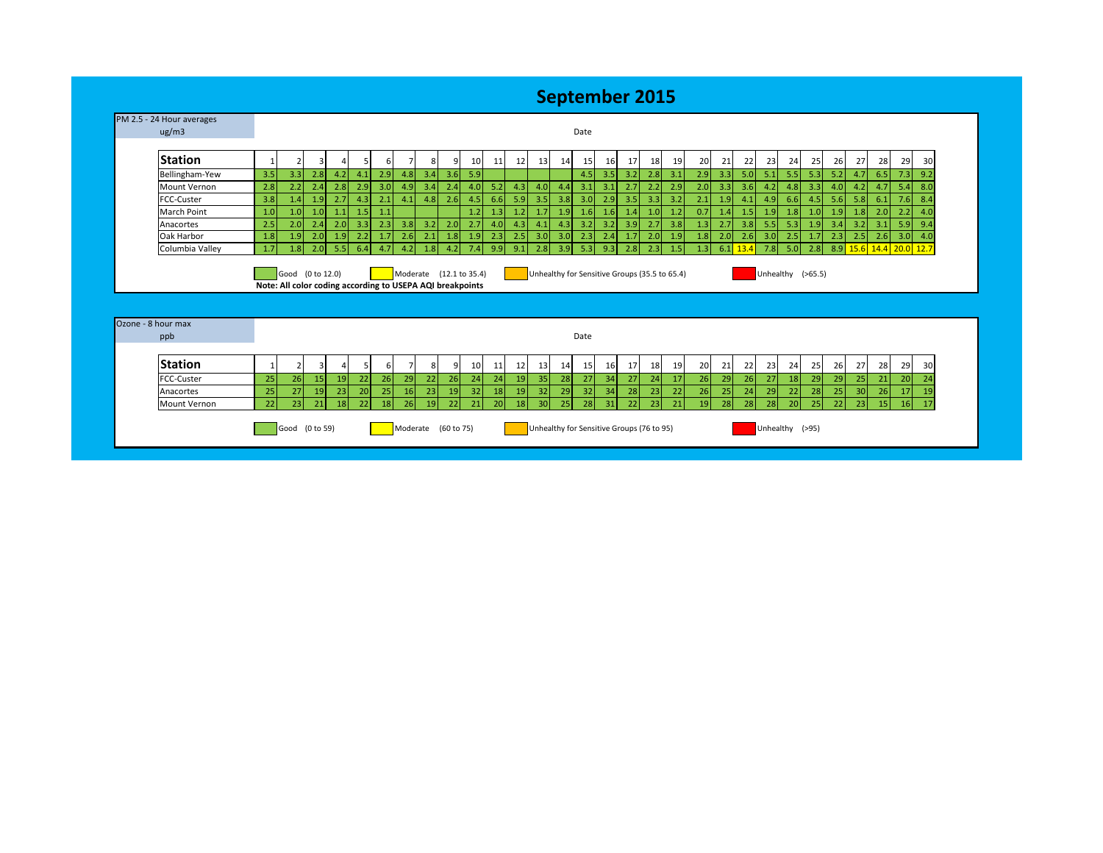## **September 2015**

| ug/m3                         | Date                                                             |                         |                |          |          |          |                 |          |                                  |                 |          |     |                                                      |          |                 |     |          |          |          |     |            |          |          |          |                          |                       |                       |                         |          |          |
|-------------------------------|------------------------------------------------------------------|-------------------------|----------------|----------|----------|----------|-----------------|----------|----------------------------------|-----------------|----------|-----|------------------------------------------------------|----------|-----------------|-----|----------|----------|----------|-----|------------|----------|----------|----------|--------------------------|-----------------------|-----------------------|-------------------------|----------|----------|
| <b>Station</b>                |                                                                  | $\overline{2}$          |                |          |          | 6        |                 |          | 9                                | 10 <sup>1</sup> | 11       | 12  | 13                                                   | 14       | 15 <sup>1</sup> | 16  | 17       | 18       | 19       | 20  | 21         | 22       | 23       | 24       | 25                       | 26                    | 27                    | 28                      | 29       | 30       |
| Bellingham-Yew                | 3.5                                                              | 3.3                     | 2.8            | 4.2      | 4.1      | 2.9      | 4.8             | 3.4      | 3.6                              | 5.9             |          |     |                                                      |          | 4.5             | 3.5 | 3.2      | 2.8      | 3.1      | 2.9 | 3.3        | 5.0      | 5.1      | 5.5      | 5.3                      | 5.2                   | 4.7                   | 6.5                     | 7.3      | 9.2      |
| Mount Vernon                  | 2.8                                                              | 2.2                     | 2.4            | 2.8      | 2.9      | 3.0      | 4.9             | 3.4      | 2.4                              | 4.0             | 5.2      | 4.3 | 4.0                                                  | 4.4      | 3.1             | 3.1 | 2.7      | 2.2      | 2.9      | 2.0 | 3.3        | 3.6      | 4.2      | 4.8      | 3.3                      | 4.0                   | 4.2                   | 4.7                     | 5.4      | 8.0      |
| FCC-Custer                    | 3.8                                                              | 1.4                     | 1.9            | 2.7      | 4.3      | 2.1      | 4.1             | 4.8      | 2.6                              | 4.5             | 6.6      | 5.9 | 3.5                                                  | 3.8      | 3.0             | 2.9 | 3.5      | 3.3      | 3.2      | 2.1 | 1.9        | 4.1      | 4.9      | 6.6      | 4.5                      | 5.6                   | 5.8                   | 6.1                     | 7.6      | 8.4      |
| <b>March Point</b>            | 1.0                                                              | 1.0                     | 1.0            | 1.1      | 1.5      | 1.1      |                 |          |                                  | 1.2             | 1.3      | 1.2 | 1.7                                                  | 1.9      | 1.6             | 1.6 | 1.4      | 1.0      | 1.2      | 0.7 | 1.4        | 1.5      | 1.9      | 1.8      | 1.0                      | 1.9                   | 1.8                   | 2.0                     | 2.2      | 4.0      |
| Anacortes                     | 2.5                                                              | 2.0                     | 2.4            | 2.0      | 3.3      | 2.3      | 3.8             | 3.2      | 2.0                              | 2.7             | 4.0      | 4.3 | 4.1                                                  | 4.3      | 3.2             | 3.2 | 3.9      | 2.7      | 3.8      | 1.3 | 2.7        | 3.8      | 5.5      | 5.3      | 1.9                      | 3.4                   | 3.2                   | 3.1                     | 5.9      | 9.4      |
|                               |                                                                  | 1.9                     | 2.0            | 1.9      | 2.2      | 1.7      | 2.6             | 2.1      | 1.8                              | 1.9             | 2.3      | 2.5 | 3.0                                                  | 3.0      | 2.3             | 2.4 | 1.7      | 2.0      | 1.9      | 1.8 | 2.0        | 2.6      | 3.0      | 2.5      | 1.7                      | 2.3                   | 2.5                   | 2.6                     | 3.0      | 4.0      |
|                               | 1.8                                                              |                         |                |          |          |          |                 |          |                                  |                 |          |     |                                                      |          |                 |     |          |          |          |     |            |          |          |          |                          |                       |                       |                         |          |          |
| Oak Harbor<br>Columbia Valley | 1.7<br>Note: All color coding according to USEPA AQI breakpoints | 1.8<br>Good (0 to 12.0) | 2.0            | 5.5      | 6.4      | 4.7      | 4.2             | 1.8      | 4.2<br>Moderate $(12.1 to 35.4)$ | 7.4             | 9.9      | 9.1 | 2.8<br>Unhealthy for Sensitive Groups (35.5 to 65.4) | 3.9      | 5.3             | 9.3 | 2.8      | 2.3      | 1.5      | 1.3 | $6.1$ 13.4 |          | 7.8      | 5.0      | 2.8<br>Unhealthy (>65.5) |                       |                       | 8.9 15.6 14.4 20.0 12.7 |          |          |
| Ozone - 8 hour max            |                                                                  |                         |                |          |          |          |                 |          |                                  |                 |          |     |                                                      |          |                 |     |          |          |          |     |            |          |          |          |                          |                       |                       |                         |          |          |
| ppb                           |                                                                  |                         |                |          |          |          |                 |          |                                  |                 |          |     |                                                      |          | Date            |     |          |          |          |     |            |          |          |          |                          |                       |                       |                         |          |          |
| <b>Station</b>                |                                                                  | $\overline{2}$          | $\overline{3}$ |          | 5        | 6        |                 | 8        | 9                                | 10 <sup>1</sup> | 11       | 12  | 13                                                   | 14       | 15              | 16  | 17       | 18       | 19       | 20  | 21         | 22       | 23       | 24       | 25                       | 26                    | 27                    | 28                      | 29       | 30       |
| FCC-Custer                    | 25                                                               | 26                      | 15             | 19       | 22       | 26       | 29              | 22       | 26                               | 24              | 24       | 19  | 35                                                   | 28       | 27              | 34  | 27       | 24       | 17       | 26  | 29         | 26       | 27       | 18       | 29                       | 29                    | 25                    | 21                      | 20       | 24       |
| Anacortes<br>Mount Vernon     | 25<br>22                                                         | 27<br>23                | 19<br>21       | 23<br>18 | 20<br>22 | 25<br>18 | 16<br><b>26</b> | 23<br>19 | 19<br>22                         | 32<br>21        | 18<br>20 | 19  | 32<br>30                                             | 29<br>25 | 32<br>28        | 34  | 28<br>22 | 23<br>23 | 22<br>21 | 26  | 25<br>28   | 24<br>28 | 29<br>28 | 22<br>20 | 28<br>25                 | 25 <sub>1</sub><br>22 | 30 <sup>1</sup><br>23 | 26                      | 17<br>16 | 19<br>17 |